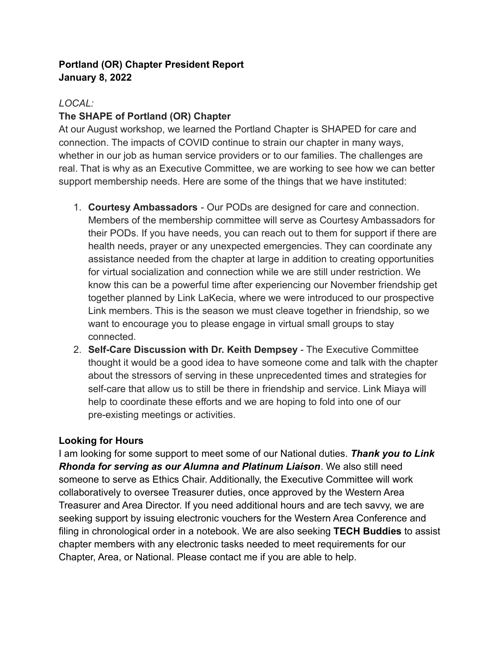#### **Portland (OR) Chapter President Report January 8, 2022**

### *LOCAL:*

## **The SHAPE of Portland (OR) Chapter**

At our August workshop, we learned the Portland Chapter is SHAPED for care and connection. The impacts of COVID continue to strain our chapter in many ways, whether in our job as human service providers or to our families. The challenges are real. That is why as an Executive Committee, we are working to see how we can better support membership needs. Here are some of the things that we have instituted:

- 1. **Courtesy Ambassadors** Our PODs are designed for care and connection. Members of the membership committee will serve as Courtesy Ambassadors for their PODs. If you have needs, you can reach out to them for support if there are health needs, prayer or any unexpected emergencies. They can coordinate any assistance needed from the chapter at large in addition to creating opportunities for virtual socialization and connection while we are still under restriction. We know this can be a powerful time after experiencing our November friendship get together planned by Link LaKecia, where we were introduced to our prospective Link members. This is the season we must cleave together in friendship, so we want to encourage you to please engage in virtual small groups to stay connected.
- 2. **Self-Care Discussion with Dr. Keith Dempsey** The Executive Committee thought it would be a good idea to have someone come and talk with the chapter about the stressors of serving in these unprecedented times and strategies for self-care that allow us to still be there in friendship and service. Link Miaya will help to coordinate these efforts and we are hoping to fold into one of our pre-existing meetings or activities.

### **Looking for Hours**

I am looking for some support to meet some of our National duties. *Thank you to Link Rhonda for serving as our Alumna and Platinum Liaison*. We also still need someone to serve as Ethics Chair. Additionally, the Executive Committee will work collaboratively to oversee Treasurer duties, once approved by the Western Area Treasurer and Area Director. If you need additional hours and are tech savvy, we are seeking support by issuing electronic vouchers for the Western Area Conference and filing in chronological order in a notebook. We are also seeking **TECH Buddies** to assist chapter members with any electronic tasks needed to meet requirements for our Chapter, Area, or National. Please contact me if you are able to help.